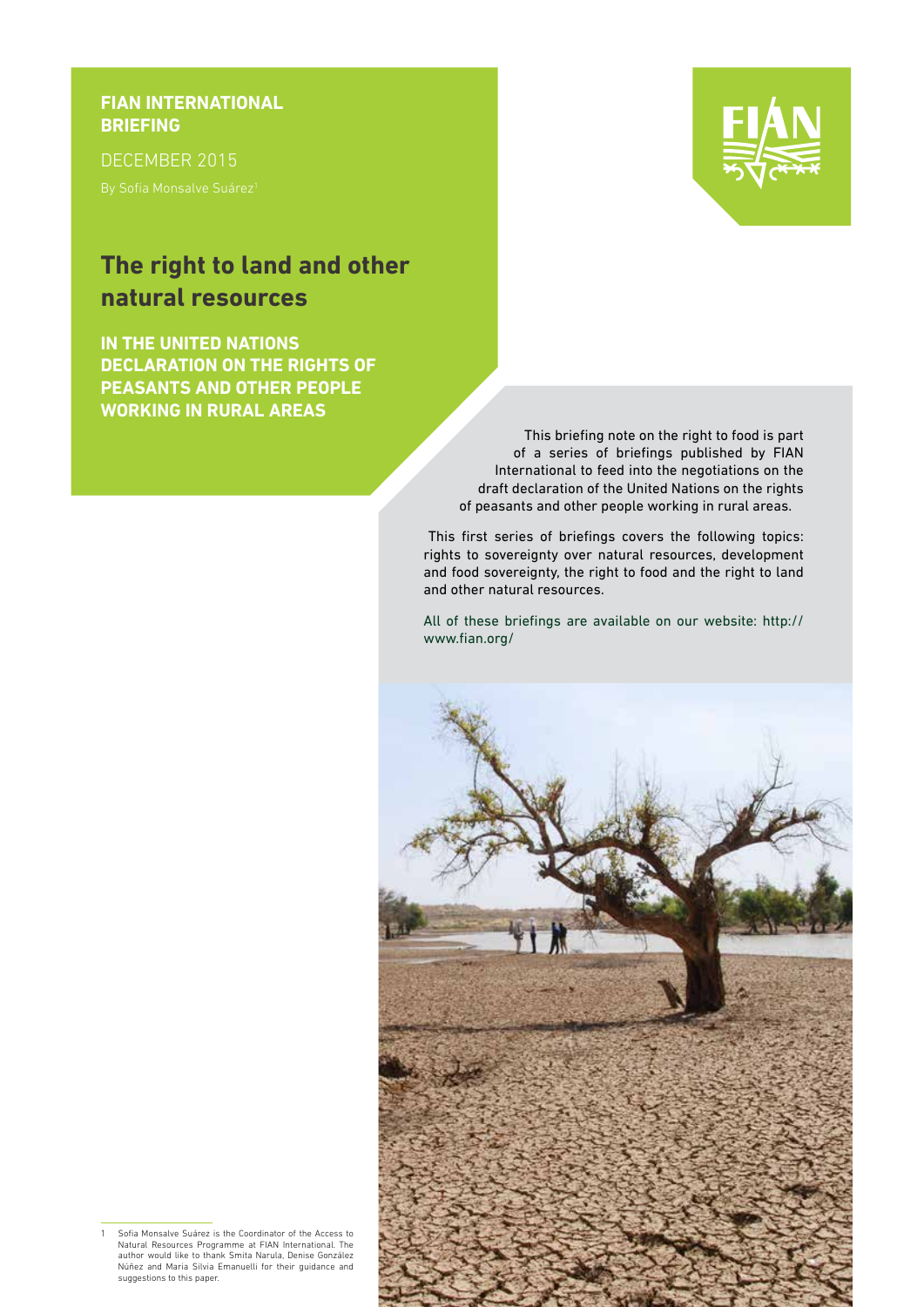### **FIAN INTERNATIONAL BRIEFING**

DECEMBER 2015

## **The right to land and other natural resources**

**IN THE UNITED NATIONS DECLARATION ON THE RIGHTS OF PEASANTS AND OTHER PEOPLE WORKING IN RURAL AREAS**



This briefing note on the right to food is part of a series of briefings published by FIAN International to feed into the negotiations on the draft declaration of the United Nations on the rights of peasants and other people working in rural areas.

This first series of briefings covers the following topics: rights to sovereignty over natural resources, development and food sovereignty, the right to food and the right to land and other natural resources.

All of these briefings are available on our website: http:// www.fian.org/



1 Sofia Monsalve Suárez is the Coordinator of the Access to Natural Resources Programme at FIAN International. The author would like to thank Smita Narula, Denise González Núñez and Maria Silvia Emanuelli for their guidance and suggestions to this paper.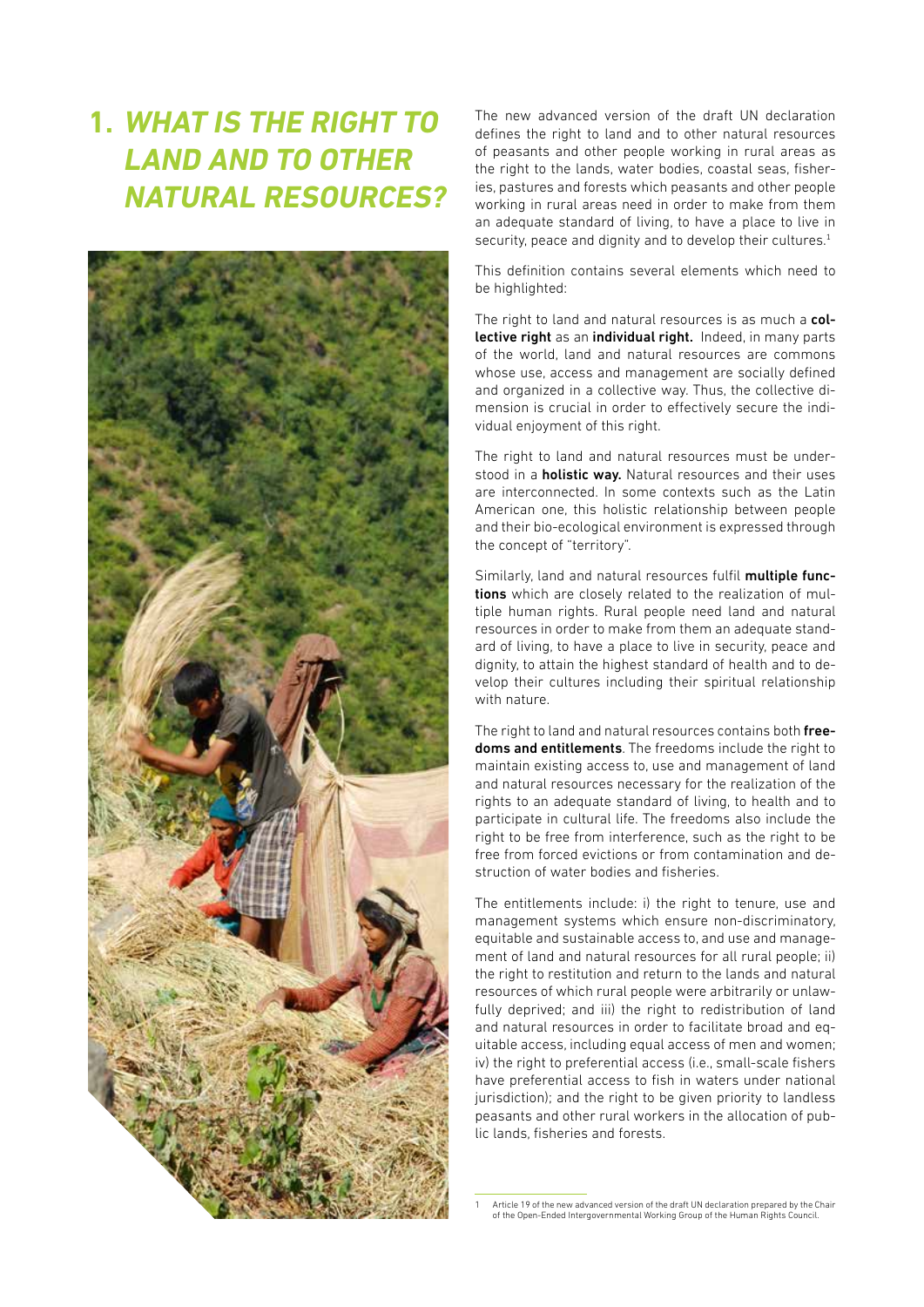# **1. WHAT IS THE RIGHT TO LAND AND TO OTHER NATURAL RESOURCES?**



The new advanced version of the draft UN declaration defines the right to land and to other natural resources of peasants and other people working in rural areas as the right to the lands, water bodies, coastal seas, fisheries, pastures and forests which peasants and other people working in rural areas need in order to make from them an adequate standard of living, to have a place to live in security, peace and dignity and to develop their cultures.<sup>1</sup>

This definition contains several elements which need to be highlighted:

The right to land and natural resources is as much a collective right as an individual right. Indeed, in many parts of the world, land and natural resources are commons whose use, access and management are socially defined and organized in a collective way. Thus, the collective dimension is crucial in order to effectively secure the individual enjoyment of this right.

The right to land and natural resources must be understood in a **holistic way.** Natural resources and their uses are interconnected. In some contexts such as the Latin American one, this holistic relationship between people and their bio-ecological environment is expressed through the concept of "territory".

Similarly, land and natural resources fulfil multiple functions which are closely related to the realization of multiple human rights. Rural people need land and natural resources in order to make from them an adequate standard of living, to have a place to live in security, peace and dignity, to attain the highest standard of health and to develop their cultures including their spiritual relationship with nature.

The right to land and natural resources contains both freedoms and entitlements. The freedoms include the right to maintain existing access to, use and management of land and natural resources necessary for the realization of the rights to an adequate standard of living, to health and to participate in cultural life. The freedoms also include the right to be free from interference, such as the right to be free from forced evictions or from contamination and destruction of water bodies and fisheries.

The entitlements include: i) the right to tenure, use and management systems which ensure non-discriminatory, equitable and sustainable access to, and use and management of land and natural resources for all rural people; ii) the right to restitution and return to the lands and natural resources of which rural people were arbitrarily or unlawfully deprived; and iii) the right to redistribution of land and natural resources in order to facilitate broad and equitable access, including equal access of men and women; iv) the right to preferential access (i.e., small-scale fishers have preferential access to fish in waters under national jurisdiction); and the right to be given priority to landless peasants and other rural workers in the allocation of public lands, fisheries and forests.

<sup>1</sup> Article 19 of the new advanced version of the draft UN declaration prepared by the Chair of the Open-Ended Intergovernmental Working Group of the Human Rights Council.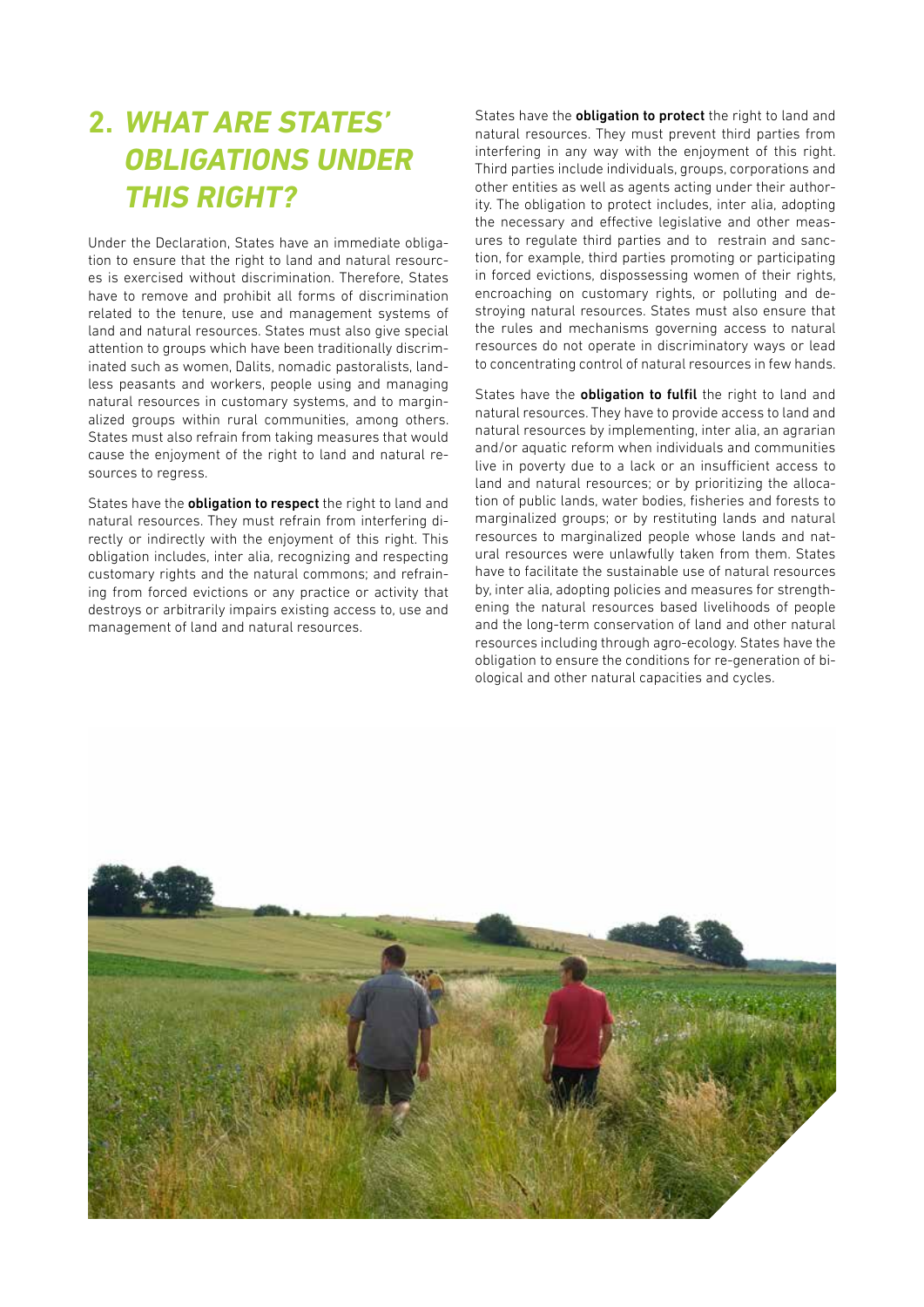# **2. WHAT ARE STATES' OBLIGATIONS UNDER THIS RIGHT?**

Under the Declaration, States have an immediate obligation to ensure that the right to land and natural resources is exercised without discrimination. Therefore, States have to remove and prohibit all forms of discrimination related to the tenure, use and management systems of land and natural resources. States must also give special attention to groups which have been traditionally discriminated such as women, Dalits, nomadic pastoralists, landless peasants and workers, people using and managing natural resources in customary systems, and to marginalized groups within rural communities, among others. States must also refrain from taking measures that would cause the enjoyment of the right to land and natural resources to regress.

States have the **obligation to respect** the right to land and natural resources. They must refrain from interfering directly or indirectly with the enjoyment of this right. This obligation includes, inter alia, recognizing and respecting customary rights and the natural commons; and refraining from forced evictions or any practice or activity that destroys or arbitrarily impairs existing access to, use and management of land and natural resources.

States have the **obligation to protect** the right to land and natural resources. They must prevent third parties from interfering in any way with the enjoyment of this right. Third parties include individuals, groups, corporations and other entities as well as agents acting under their authority. The obligation to protect includes, inter alia, adopting the necessary and effective legislative and other measures to regulate third parties and to restrain and sanction, for example, third parties promoting or participating in forced evictions, dispossessing women of their rights, encroaching on customary rights, or polluting and destroying natural resources. States must also ensure that the rules and mechanisms governing access to natural resources do not operate in discriminatory ways or lead to concentrating control of natural resources in few hands.

States have the **obligation to fulfil** the right to land and natural resources. They have to provide access to land and natural resources by implementing, inter alia, an agrarian and/or aquatic reform when individuals and communities live in poverty due to a lack or an insufficient access to land and natural resources; or by prioritizing the allocation of public lands, water bodies, fisheries and forests to marginalized groups; or by restituting lands and natural resources to marginalized people whose lands and natural resources were unlawfully taken from them. States have to facilitate the sustainable use of natural resources by, inter alia, adopting policies and measures for strengthening the natural resources based livelihoods of people and the long-term conservation of land and other natural resources including through agro-ecology. States have the obligation to ensure the conditions for re-generation of biological and other natural capacities and cycles.

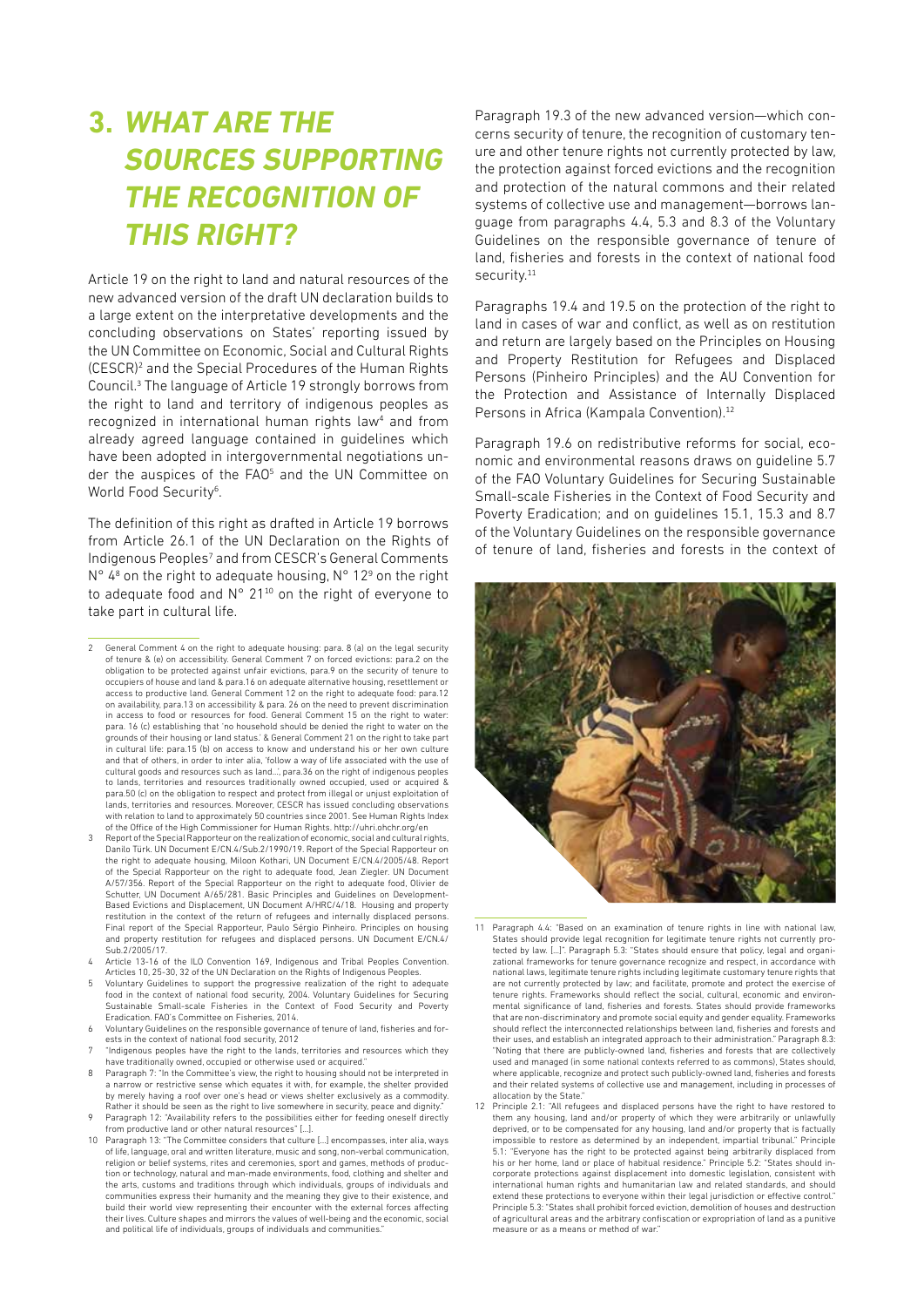# **3. WHAT ARE THE SOURCES SUPPORTING THE RECOGNITION OF THIS RIGHT?**

Article 19 on the right to land and natural resources of the new advanced version of the draft UN declaration builds to a large extent on the interpretative developments and the concluding observations on States' reporting issued by the UN Committee on Economic, Social and Cultural Rights (CESCR)<sup>2</sup> and the Special Procedures of the Human Rights Council.<sup>3</sup> The language of Article 19 strongly borrows from the right to land and territory of indigenous peoples as recognized in international human rights law<sup>4</sup> and from already agreed language contained in guidelines which have been adopted in intergovernmental negotiations under the auspices of the FAO<sup>5</sup> and the UN Committee on World Food Security<sup>6</sup>.

The definition of this right as drafted in Article 19 borrows from Article 26.1 of the UN Declaration on the Rights of Indigenous Peoples<sup>7</sup> and from CESCR's General Comments  $N^{\circ}$  4<sup>8</sup> on the right to adequate housing,  $N^{\circ}$  12<sup>9</sup> on the right to adequate food and  $N^{\circ}$  21<sup>10</sup> on the right of everyone to take part in cultural life.

2 General Comment 4 on the right to adequate housing: para. 8 (a) on the legal security of tenure & (e) on accessibility. General Comment 7 on forced evictions: para.2 on the obligation to be protected against unfair evictions, para.9 on the security of tenure to occupiers of house and land & para.16 on adequate alternative housing, resettlement or access to productive land. General Comment 12 on the right to adequate food: para.12 on availability, para.13 on accessibility & para. 26 on the need to prevent discrimination in access to food or resources for food. General Comment 15 on the right to water: para. 16 (c) establishing that 'no household should be denied the right to water on the grounds of their housing or land status.' & General Comment 21 on the right to take part in cultural life: para.15 (b) on access to know and understand his or her own culture and that of others, in order to inter alia, 'follow a way of life associated with the use of cultural goods and resources such as land...', para.36 on the right of indigenous peoples to lands, territories and resources traditionally owned occupied, used or acquired & para.50 (c) on the obligation to respect and protect from illegal or unjust exploitation of lands, territories and resources. Moreover, CESCR has issued concluding observations with relation to land to approximately 50 countries since 2001. See Human Rights Index of the Office of the High Commissioner for Human Rights. http://uhri.ohchr.org/en

3 Report of the Special Rapporteur on the realization of economic, social and cultural rights, Danilo Türk. UN Document E/CN.4/Sub.2/1990/19. Report of the Special Rapporteur on the right to adequate housing, Miloon Kothari, UN Document E/CN.4/2005/48. Report of the Special Rapporteur on the right to adequate food, Jean Ziegler. UN Document A/57/356. Report of the Special Rapporteur on the right to adequate food, Olivier de Schutter, UN Document A/65/281. Basic Principles and Guidelines on Development-Based Evictions and Displacement, UN Document A/HRC/4/18. Housing and property restitution in the context of the return of refugees and internally displaced persons. Final report of the Special Rapporteur, Paulo Sérgio Pinheiro. Principles on housing and property restitution for refugees and displaced persons. UN Document E/CN.4/ Sub.2/2005/17.

- 4 Article 13-16 of the ILO Convention 169, Indigenous and Tribal Peoples Convention. Articles 10, 25-30, 32 of the UN Declaration on the Rights of Indigenous Peoples.
- Voluntary Guidelines to support the progressive realization of the right to adequate food in the context of national food security, 2004. Voluntary Guidelines for Securing Sustainable Small-scale Fisheries in the Context of Food Security and Poverty Eradication. FAO's Committee on Fisheries, 2014.
- 6 Voluntary Guidelines on the responsible governance of tenure of land, fisheries and forests in the context of national food security, 2012
- 7 "Indigenous peoples have the right to the lands, territories and resources which they have traditionally owned, occupied or otherwise used or acquired."
- 8 Paragraph 7: "In the Committee's view, the right to housing should not be interpreted in a narrow or restrictive sense which equates it with, for example, the shelter provided by merely having a roof over one's head or views shelter exclusively as a commodity. Rather it should be seen as the right to live somewhere in security, peace and dignity.
- 9 Paragraph 12: "Availability refers to the possibilities either for feeding oneself directly from productive land or other natural resources" […].
- 10 Paragraph 13: "The Committee considers that culture […] encompasses, inter alia, ways of life, language, oral and written literature, music and song, non-verbal communication, religion or belief systems, rites and ceremonies, sport and games, methods of production or technology, natural and man-made environments, food, clothing and shelter and the arts, customs and traditions through which individuals, groups of individuals and communities express their humanity and the meaning they give to their existence, and build their world view representing their encounter with the external forces affecting their lives. Culture shapes and mirrors the values of well-being and the economic, social and political life of individuals, groups of individuals and communities.

Paragraph 19.3 of the new advanced version—which concerns security of tenure, the recognition of customary tenure and other tenure rights not currently protected by law, the protection against forced evictions and the recognition and protection of the natural commons and their related systems of collective use and management—borrows language from paragraphs 4.4, 5.3 and 8.3 of the Voluntary Guidelines on the responsible governance of tenure of land, fisheries and forests in the context of national food security.<sup>11</sup>

Paragraphs 19.4 and 19.5 on the protection of the right to land in cases of war and conflict, as well as on restitution and return are largely based on the Principles on Housing and Property Restitution for Refugees and Displaced Persons (Pinheiro Principles) and the AU Convention for the Protection and Assistance of Internally Displaced Persons in Africa (Kampala Convention).<sup>12</sup>

Paragraph 19.6 on redistributive reforms for social, economic and environmental reasons draws on guideline 5.7 of the FAO Voluntary Guidelines for Securing Sustainable Small-scale Fisheries in the Context of Food Security and Poverty Eradication; and on guidelines 15.1, 15.3 and 8.7 of the Voluntary Guidelines on the responsible governance of tenure of land, fisheries and forests in the context of



- 11 Paragraph 4.4: "Based on an examination of tenure rights in line with national law, States should provide legal recognition for legitimate tenure rights not currently pro-tected by law. […]". Paragraph 5.3: "States should ensure that policy, legal and organizational frameworks for tenure governance recognize and respect, in accordance with national laws, legitimate tenure rights including legitimate customary tenure rights that are not currently protected by law; and facilitate, promote and protect the exercise of tenure rights. Frameworks should reflect the social, cultural, economic and environmental significance of land, fisheries and forests. States should provide frameworks that are non-discriminatory and promote social equity and gender equality. Frameworks should reflect the interconnected relationships between land, fisheries and forests and their uses, and establish an integrated approach to their administration." Paragraph 8.3: "Noting that there are publicly-owned land, fisheries and forests that are collectively used and managed (in some national contexts referred to as commons), States should, where applicable, recognize and protect such publicly-owned land, fisheries and forests and their related systems of collective use and management, including in processes of allocation by the State."
- 12 Principle 2.1: "All refugees and displaced persons have the right to have restored to them any housing, land and/or property of which they were arbitrarily or unlawfully deprived, or to be compensated for any housing, land and/or property that is factually impossible to restore as determined by an independent, impartial tribunal." Principle 5.1: "Everyone has the right to be protected against being arbitrarily displaced from his or her home, land or place of habitual residence." Principle 5.2: "States should incorporate protections against displacement into domestic legislation, consistent with international human rights and humanitarian law and related standards, and should extend these protections to everyone within their legal jurisdiction or effective control." Principle 5.3: "States shall prohibit forced eviction, demolition of houses and destruction of agricultural areas and the arbitrary confiscation or expropriation of land as a punitive measure or as a means or method of war.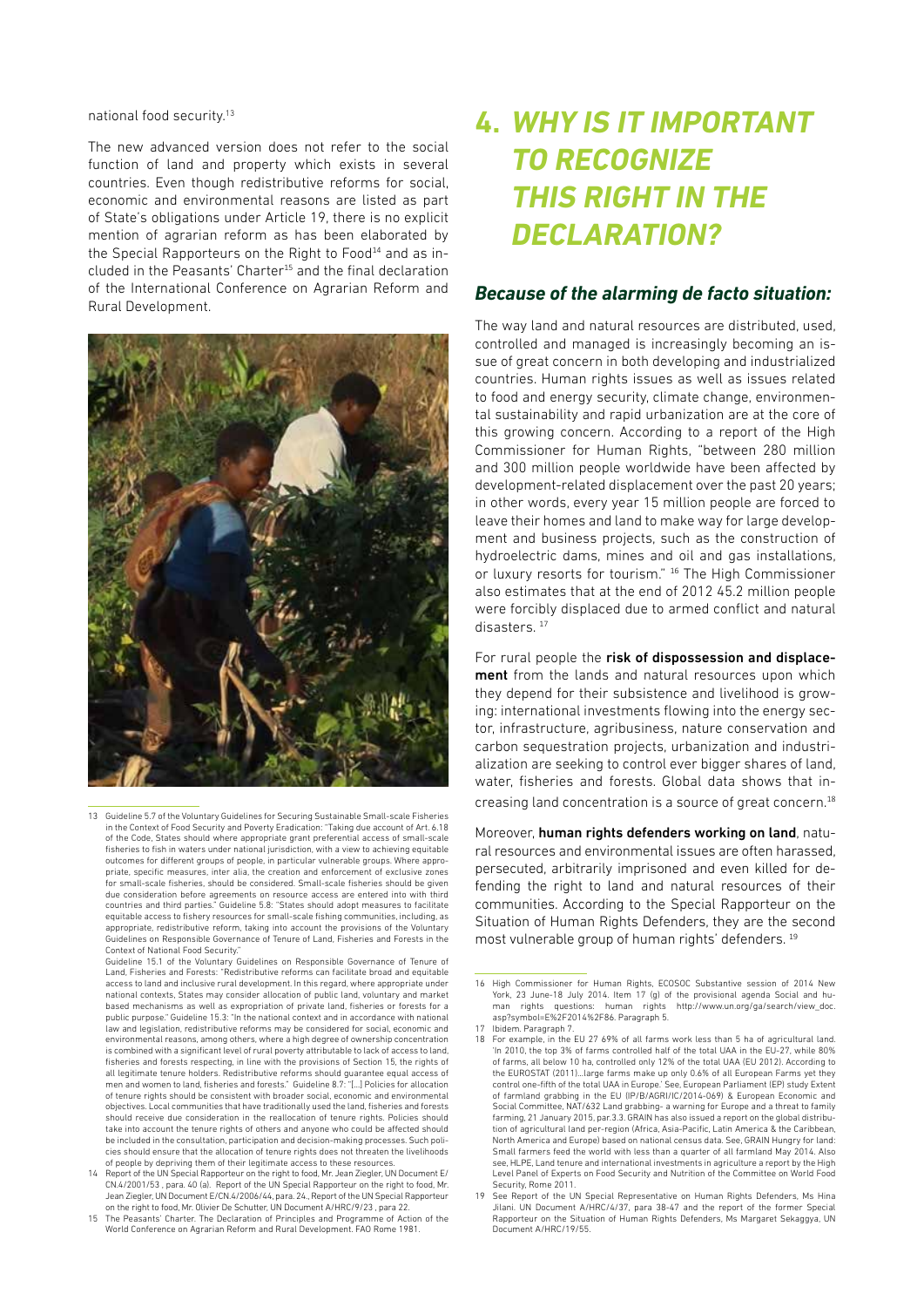national food security.13

The new advanced version does not refer to the social function of land and property which exists in several countries. Even though redistributive reforms for social, economic and environmental reasons are listed as part of State's obligations under Article 19, there is no explicit mention of agrarian reform as has been elaborated by the Special Rapporteurs on the Right to Food<sup>14</sup> and as included in the Peasants' Charter<sup>15</sup> and the final declaration of the International Conference on Agrarian Reform and Rural Development.



13 Guideline 5.7 of the Voluntary Guidelines for Securing Sustainable Small-scale Fisheries in the Context of Food Security and Poverty Eradication: "Taking due account of Art. 6.18 of the Code, States should where appropriate grant preferential access of small-scale fisheries to fish in waters under national jurisdiction, with a view to achieving equitable outcomes for different groups of people, in particular vulnerable groups. Where appropriate, specific measures, inter alia, the creation and enforcement of exclusive zones for small-scale fisheries, should be considered. Small-scale fisheries should be given due consideration before agreements on resource access are entered into with third countries and third parties." Guideline 5.8: "States should adopt measures to facilitate equitable access to fishery resources for small-scale fishing communities, including, as appropriate, redistributive reform, taking into account the provisions of the Voluntary Guidelines on Responsible Governance of Tenure of Land, Fisheries and Forests in the Context of National Food Security."

Guideline 15.1 of the Voluntary Guidelines on Responsible Governance of Tenure of Land, Fisheries and Forests: "Redistributive reforms can facilitate broad and equitable access to land and inclusive rural development. In this regard, where appropriate under national contexts, States may consider allocation of public land, voluntary and market based mechanisms as well as expropriation of private land, fisheries or forests for a public purpose." Guideline 15.3: "In the national context and in accordance with national law and legislation, redistributive reforms may be considered for social, economic and environmental reasons, among others, where a high degree of ownership concentration is combined with a significant level of rural poverty attributable to lack of access to land, fisheries and forests respecting, in line with the provisions of Section 15, the rights of all legitimate tenure holders. Redistributive reforms should guarantee equal access of men and women to land, fisheries and forests." Guideline 8.7: "[…] Policies for allocation of tenure rights should be consistent with broader social, economic and environmental objectives. Local communities that have traditionally used the land, fisheries and forests should receive due consideration in the reallocation of tenure rights. Policies should take into account the tenure rights of others and anyone who could be affected should be included in the consultation, participation and decision-making processes. Such policies should ensure that the allocation of tenure rights does not threaten the livelihoods of people by depriving them of their legitimate access to these resources.

# **4. WHY IS IT IMPORTANT TO RECOGNIZE THIS RIGHT IN THE DECLARATION?**

#### *Because of the alarming de facto situation:*

The way land and natural resources are distributed, used, controlled and managed is increasingly becoming an issue of great concern in both developing and industrialized countries. Human rights issues as well as issues related to food and energy security, climate change, environmental sustainability and rapid urbanization are at the core of this growing concern. According to a report of the High Commissioner for Human Rights, "between 280 million and 300 million people worldwide have been affected by development-related displacement over the past 20 years; in other words, every year 15 million people are forced to leave their homes and land to make way for large development and business projects, such as the construction of hydroelectric dams, mines and oil and gas installations, or luxury resorts for tourism." <sup>16</sup> The High Commissioner also estimates that at the end of 2012 45.2 million people were forcibly displaced due to armed conflict and natural disasters.<sup>17</sup>

For rural people the risk of dispossession and displacement from the lands and natural resources upon which they depend for their subsistence and livelihood is growing: international investments flowing into the energy sector, infrastructure, agribusiness, nature conservation and carbon sequestration projects, urbanization and industrialization are seeking to control ever bigger shares of land, water, fisheries and forests. Global data shows that increasing land concentration is a source of great concern.<sup>18</sup>

Moreover, human rights defenders working on land, natural resources and environmental issues are often harassed, persecuted, arbitrarily imprisoned and even killed for defending the right to land and natural resources of their communities. According to the Special Rapporteur on the Situation of Human Rights Defenders, they are the second most vulnerable group of human rights' defenders. <sup>19</sup>

<sup>14</sup> Report of the UN Special Rapporteur on the right to food, Mr. Jean Ziegler, UN Document E/ CN.4/2001/53 , para. 40 (a). Report of the UN Special Rapporteur on the right to food, Mr. Jean Ziegler, UN Document E/CN.4/2006/44, para. 24., Report of the UN Special Rapporteur on the right to food, Mr. Olivier De Schutter, UN Document A/HRC/9/23 , para 22.

<sup>15</sup> The Peasants' Charter. The Declaration of Principles and Programme of Action of the World Conference on Agrarian Reform and Rural Development. FAO Rome 1981.

<sup>16</sup> High Commissioner for Human Rights, ECOSOC Substantive session of 2014 New York, 23 June-18 July 2014. Item 17 (g) of the provisional agenda Social and hu-man rights questions: human rights http://www.un.org/ga/search/view\_doc. asp?symbol=E%2F2014%2F86. Paragraph 5.

<sup>17</sup> Ibidem. Paragraph 7.

<sup>18</sup> For example, in the EU 27 69% of all farms work less than 5 ha of agricultural land. 'In 2010, the top 3% of farms controlled half of the total UAA in the EU-27, while 80% of farms, all below 10 ha, controlled only 12% of the total UAA (EU 2012). According to the EUROSTAT (2011)…large farms make up only 0.6% of all European Farms yet they control one-fifth of the total UAA in Europe.' See, European Parliament (EP) study Extent of farmland grabbing in the EU (IP/B/AGRI/IC/2014-069) & European Economic and Social Committee, NAT/632 Land grabbing- a warning for Europe and a threat to family farming, 21 January 2015, par.3.3. GRAIN has also issued a report on the global distribu-tion of agricultural land per-region (Africa, Asia-Pacific, Latin America & the Caribbean, North America and Europe) based on national census data. See, GRAIN Hungry for land: Small farmers feed the world with less than a quarter of all farmland May 2014. Also see, HLPE, Land tenure and international investments in agriculture a report by the High Level Panel of Experts on Food Security and Nutrition of the Committee on World Food Security, Rome 2011

<sup>19</sup> See Report of the UN Special Representative on Human Rights Defenders, Ms Hina Jilani. UN Document A/HRC/4/37, para 38-47 and the report of the former Special Rapporteur on the Situation of Human Rights Defenders, Ms Margaret Sekaggya, UN Document A/HRC/19/55.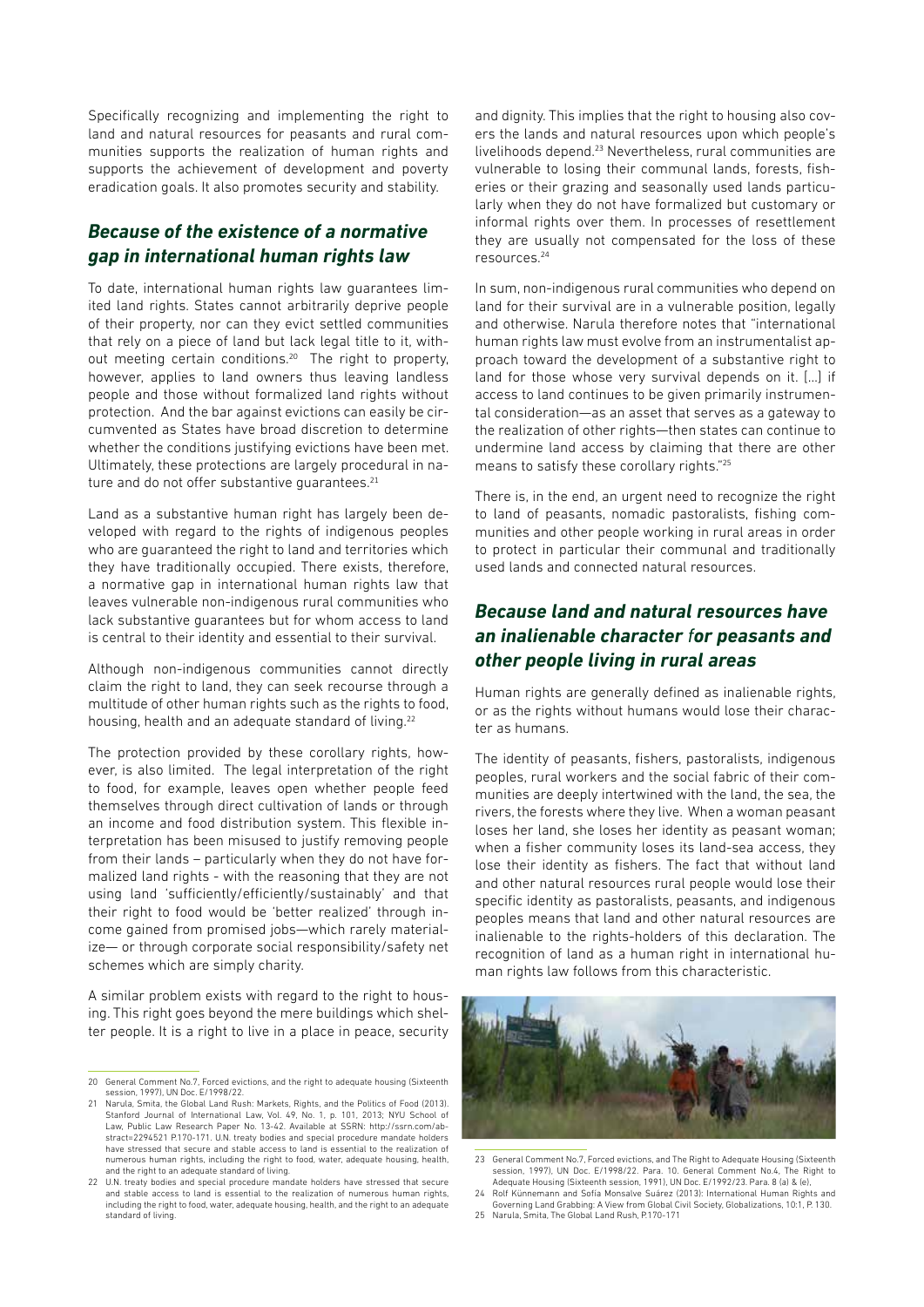Specifically recognizing and implementing the right to land and natural resources for peasants and rural communities supports the realization of human rights and supports the achievement of development and poverty eradication goals. It also promotes security and stability.

### *Because of the existence of a normative gap in international human rights law*

To date, international human rights law guarantees limited land rights. States cannot arbitrarily deprive people of their property, nor can they evict settled communities that rely on a piece of land but lack legal title to it, without meeting certain conditions.<sup>20</sup> The right to property, however, applies to land owners thus leaving landless people and those without formalized land rights without protection. And the bar against evictions can easily be circumvented as States have broad discretion to determine whether the conditions justifying evictions have been met. Ultimately, these protections are largely procedural in nature and do not offer substantive guarantees.<sup>21</sup>

Land as a substantive human right has largely been developed with regard to the rights of indigenous peoples who are guaranteed the right to land and territories which they have traditionally occupied. There exists, therefore, a normative gap in international human rights law that leaves vulnerable non-indigenous rural communities who lack substantive guarantees but for whom access to land is central to their identity and essential to their survival.

Although non-indigenous communities cannot directly claim the right to land, they can seek recourse through a multitude of other human rights such as the rights to food, housing, health and an adequate standard of living.<sup>22</sup>

The protection provided by these corollary rights, however, is also limited. The legal interpretation of the right to food, for example, leaves open whether people feed themselves through direct cultivation of lands or through an income and food distribution system. This flexible interpretation has been misused to justify removing people from their lands – particularly when they do not have formalized land rights - with the reasoning that they are not using land 'sufficiently/efficiently/sustainably' and that their right to food would be 'better realized' through income gained from promised jobs—which rarely materialize— or through corporate social responsibility/safety net schemes which are simply charity.

A similar problem exists with regard to the right to housing. This right goes beyond the mere buildings which shelter people. It is a right to live in a place in peace, security and dignity. This implies that the right to housing also covers the lands and natural resources upon which people's livelihoods depend.<sup>23</sup> Nevertheless, rural communities are vulnerable to losing their communal lands, forests, fisheries or their grazing and seasonally used lands particularly when they do not have formalized but customary or informal rights over them. In processes of resettlement they are usually not compensated for the loss of these resources.<sup>24</sup>

In sum, non-indigenous rural communities who depend on land for their survival are in a vulnerable position, legally and otherwise. Narula therefore notes that "international human rights law must evolve from an instrumentalist approach toward the development of a substantive right to land for those whose very survival depends on it. […] if access to land continues to be given primarily instrumental consideration—as an asset that serves as a gateway to the realization of other rights—then states can continue to undermine land access by claiming that there are other means to satisfy these corollary rights."<sup>25</sup>

There is, in the end, an urgent need to recognize the right to land of peasants, nomadic pastoralists, fishing communities and other people working in rural areas in order to protect in particular their communal and traditionally used lands and connected natural resources.

### *Because land and natural resources have an inalienable character for peasants and other people living in rural areas*

Human rights are generally defined as inalienable rights, or as the rights without humans would lose their character as humans.

The identity of peasants, fishers, pastoralists, indigenous peoples, rural workers and the social fabric of their communities are deeply intertwined with the land, the sea, the rivers, the forests where they live. When a woman peasant loses her land, she loses her identity as peasant woman; when a fisher community loses its land-sea access, they lose their identity as fishers. The fact that without land and other natural resources rural people would lose their specific identity as pastoralists, peasants, and indigenous peoples means that land and other natural resources are inalienable to the rights-holders of this declaration. The recognition of land as a human right in international human rights law follows from this characteristic.



<sup>23</sup> General Comment No.7, Forced evictions, and The Right to Adequate Housing (Sixteenth session, 1997), UN Doc. E/1998/22. Para. 10. General Comment No.4, The Right to Adequate Housing (Sixteenth session, 1991), UN Doc. E/1992/23. Para. 8 (a) & (e), 24 Rolf Künnemann and Sofía Monsalve Suárez (2013): International Human Rights and

<sup>20</sup> General Comment No.7, Forced evictions, and the right to adequate housing (Sixteenth session, 1997), UN Doc. E/1998/22.

<sup>21</sup> Narula, Smita, the Global Land Rush: Markets, Rights, and the Politics of Food (2013). Stanford Journal of International Law, Vol. 49, No. 1, p. 101, 2013; NYU School of Law, Public Law Research Paper No. 13-42. Available at SSRN: http://ssrn.com/ab-stract=2294521 P.170-171. U.N. treaty bodies and special procedure mandate holders have stressed that secure and stable access to land is essential to the realization of numerous human rights, including the right to food, water, adequate housing, health, and the right to an adequate standard of living.

<sup>22</sup> U.N. treaty bodies and special procedure mandate holders have stressed that secure and stable access to land is essential to the realization of numerous human rights, including the right to food, water, adequate housing, health, and the right to an adequate standard of living.

Governing Land Grabbing: A View from Global Civil Society, Globalizations, 10:1, P. 130. 25 Narula, Smita, The Global Land Rush, P.170-171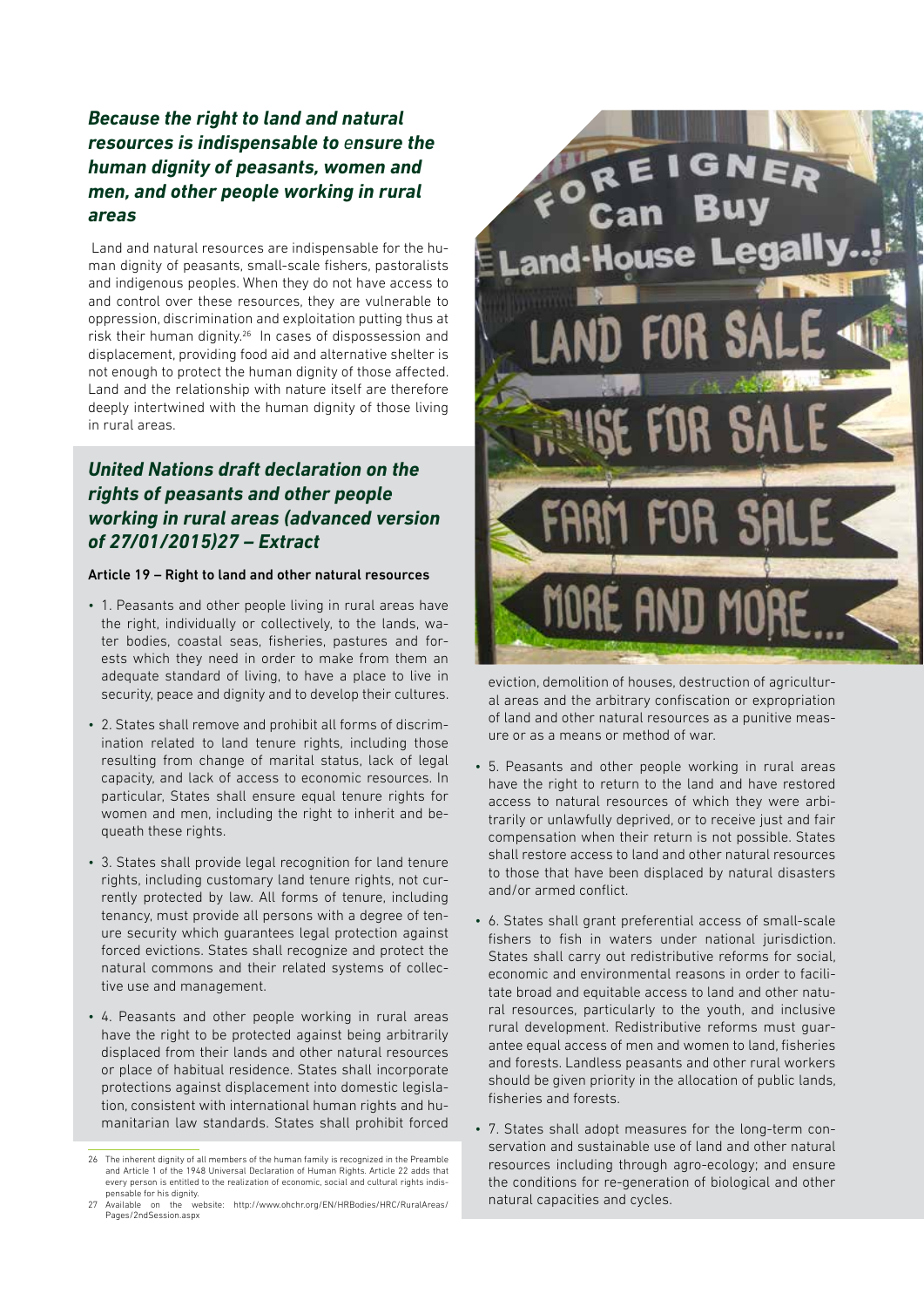### *Because the right to land and natural resources is indispensable to ensure the human dignity of peasants, women and men, and other people working in rural areas*

 Land and natural resources are indispensable for the human dignity of peasants, small-scale fishers, pastoralists and indigenous peoples. When they do not have access to and control over these resources, they are vulnerable to oppression, discrimination and exploitation putting thus at risk their human dignity.<sup>26</sup> In cases of dispossession and displacement, providing food aid and alternative shelter is not enough to protect the human dignity of those affected. Land and the relationship with nature itself are therefore deeply intertwined with the human dignity of those living in rural areas.

### *United Nations draft declaration on the rights of peasants and other people working in rural areas (advanced version of 27/01/2015)27 – Extract*

#### Article 19 – Right to land and other natural resources

- 1. Peasants and other people living in rural areas have the right, individually or collectively, to the lands, water bodies, coastal seas, fisheries, pastures and forests which they need in order to make from them an adequate standard of living, to have a place to live in security, peace and dignity and to develop their cultures.
- 2. States shall remove and prohibit all forms of discrimination related to land tenure rights, including those resulting from change of marital status, lack of legal capacity, and lack of access to economic resources. In particular, States shall ensure equal tenure rights for women and men, including the right to inherit and bequeath these rights.
- 3. States shall provide legal recognition for land tenure rights, including customary land tenure rights, not currently protected by law. All forms of tenure, including tenancy, must provide all persons with a degree of tenure security which guarantees legal protection against forced evictions. States shall recognize and protect the natural commons and their related systems of collective use and management.
- 4. Peasants and other people working in rural areas have the right to be protected against being arbitrarily displaced from their lands and other natural resources or place of habitual residence. States shall incorporate protections against displacement into domestic legislation, consistent with international human rights and humanitarian law standards. States shall prohibit forced



eviction, demolition of houses, destruction of agricultural areas and the arbitrary confiscation or expropriation of land and other natural resources as a punitive measure or as a means or method of war.

- 5. Peasants and other people working in rural areas have the right to return to the land and have restored access to natural resources of which they were arbitrarily or unlawfully deprived, or to receive just and fair compensation when their return is not possible. States shall restore access to land and other natural resources to those that have been displaced by natural disasters and/or armed conflict.
- 6. States shall grant preferential access of small-scale fishers to fish in waters under national jurisdiction. States shall carry out redistributive reforms for social, economic and environmental reasons in order to facilitate broad and equitable access to land and other natural resources, particularly to the youth, and inclusive rural development. Redistributive reforms must guarantee equal access of men and women to land, fisheries and forests. Landless peasants and other rural workers should be given priority in the allocation of public lands, fisheries and forests.
- 7. States shall adopt measures for the long-term conservation and sustainable use of land and other natural resources including through agro-ecology; and ensure the conditions for re-generation of biological and other natural capacities and cycles.

<sup>26</sup> The inherent dignity of all members of the human family is recognized in the Preamble and Article 1 of the 1948 Universal Declaration of Human Rights. Article 22 adds that every person is entitled to the realization of economic, social and cultural rights indispensable for his dignity.

<sup>27</sup> Available on the website: http://www.ohchr.org/EN/HRBodies/HRC/RuralAreas/ Pages/2ndSession.aspx